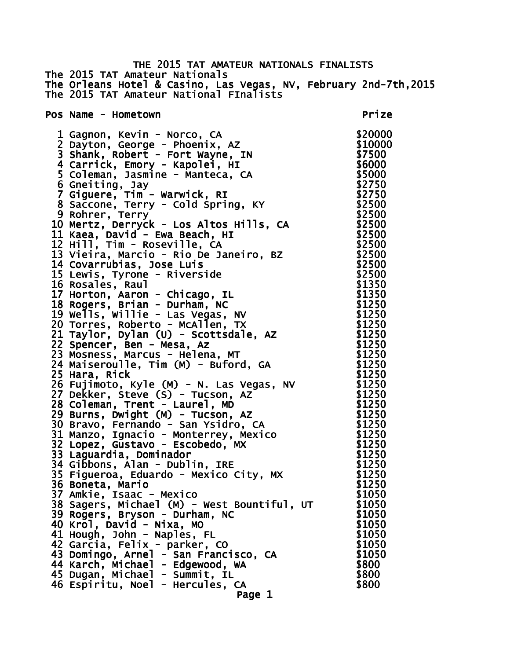THE 2015 TAT AMATEUR NATIONALS FINALISTS The 2015 TAT Amateur Nationals The Orleans Hotel & Casino, Las Vegas, NV, February 2nd-7th,2015 The 2015 TAT Amateur National FInalists Pos Name - Hometown **Prize**  1 Gagnon, Kevin - Norco, CA \$20000 2 Dayton, George - Phoenix, AZ \$10000 3 Shank, Robert - Fort Wayne, IN \$7500 4 Carrick, Emory - Kapolei, HI \$6000 5 Coleman, Jasmine - Manteca, CA 6 Gneiting, Jay  $$2750$ 7 Giguere, Tim - Warwick, RI \$2750 8 Saccone, Terry - Cold Spring, KY \$2500 9 Rohrer, Terry 10 Mertz, Derryck - Los Altos Hills, CA \$2500 11 Kaea, David - Ewa Beach, HI \$2500 12 Hill, Tim - Roseville, CA<br>13 Vieira, Marcio - Rio De Janeiro, BZ \$2500 13 Vieira, Marcio - Rio De Janeiro, BZ 14 Covarrubias, Jose Luis \$2500 15 Lewis, Tyrone - Riverside 16 Rosales, Raul \$1350 17 Horton, Aaron - Chicago, IL \$1350 18 Rogers, Brian - Durham, NC  $$1250$  19 Wells, Willie - Las Vegas, NV \$1250 20 Torres, Roberto - McAllen, TX \$1250 21 Taylor, Dylan (U) - Scottsdale, AZ \$1250 22 Spencer, Ben - Mesa, Az \$1250 23 Mosness, Marcus - Helena, MT \$1250 24 Maiseroulle, Tim (M) - Buford, GA \$1250 25 Hara, Rick \$1250 26 Fujimoto, Kyle (M) - N. Las Vegas, NV \$1250 27 Dekker, Steve (S) - Tucson, AZ \$1250 28 Coleman, Trent - Laurel, MD \$1250 29 Burns, Dwight (M) - Tucson, AZ \$1250 30 Bravo, Fernando - San Ysidro, CA \$1250 31 Manzo, Ignacio - Monterrey, Mexico \$1250<br>32 Lopez, Gustavo - Escobedo, MX \$1250 32 Lopez, Gustavo - Escobedo, MX 33 Laguardia, Dominador **\$1250** 34 Gibbons, Alan - Dublin, IRE \$1250 35 Figueroa, Eduardo - Mexico City, MX \$1250 36 Boneta, Mario  $$1250$ 37 Amkie, Isaac - Mexico  $$1050$ 38 Sagers, Michael (M) - West Bountiful, UT \$1050 39 Rogers, Bryson - Durham, NC \$1050 40 Krol, David - Nixa, MO \$1050 41 Hough, John - Naples, FL \$1050 42 Garcia, Felix - parker, CO \$1050 43 Domingo, Arnel - San Francisco, CA \$1050 44 Karch, Michael - Edgewood, WA **\$800**  45 Dugan, Michael - Summit, IL \$800 46 Espiritu, Noel - Hercules, CA  $$800$ Page 1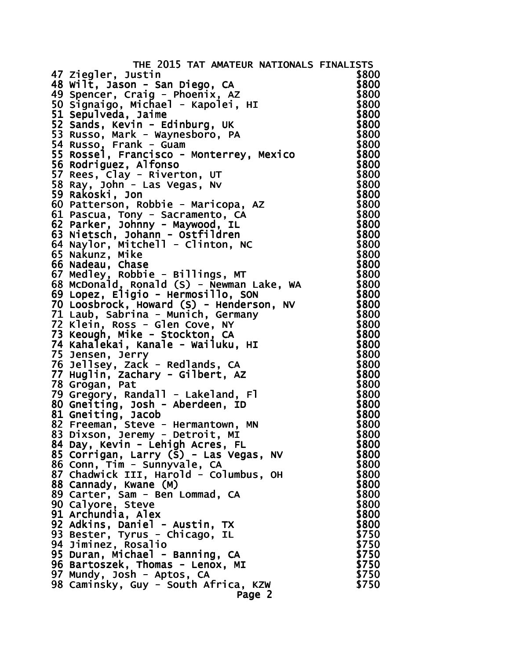| THE 2015 TAT AMATEUR NATIONALS FINALISTS                                                                                                                                                                                                            |                |
|-----------------------------------------------------------------------------------------------------------------------------------------------------------------------------------------------------------------------------------------------------|----------------|
| 47 Ziegler, Justin                                                                                                                                                                                                                                  | \$800          |
|                                                                                                                                                                                                                                                     | \$800          |
|                                                                                                                                                                                                                                                     | \$800          |
|                                                                                                                                                                                                                                                     | \$800          |
|                                                                                                                                                                                                                                                     | \$800          |
|                                                                                                                                                                                                                                                     | \$800          |
|                                                                                                                                                                                                                                                     | \$800          |
| 47 Ziegier, Justin<br>48 Wilt, Jason - San Diego, CA<br>49 Spencer, Craig - Phoenix, AZ<br>50 Signaigo, Michael - Kapolei, HI<br>51 Sepulveda, Jaime<br>52 Sands, Kevin - Edinburg, UK<br>53 Russo, Mark - Waynesboro, PA<br>54 Russo, Frank - Guam | \$800          |
|                                                                                                                                                                                                                                                     | \$800          |
| 56 Rodriguez, Alfonso                                                                                                                                                                                                                               | \$800          |
| 57 Rees, Clay - Riverton, UT                                                                                                                                                                                                                        | \$800          |
| 58 Ray, John - Las Vegas, Nv<br>59 Rakoski, Jon                                                                                                                                                                                                     | \$800<br>\$800 |
| 60 Patterson, Robbie - Maricopa, AZ                                                                                                                                                                                                                 | \$800          |
|                                                                                                                                                                                                                                                     | \$800          |
| 61 Pascua, Tony - Sacramento, CA<br>62 Parker, Johnny - Maywood, IL                                                                                                                                                                                 | \$800          |
| 63 Nietsch, Johann - Ostfildren                                                                                                                                                                                                                     | \$800          |
| 64 Naylor, Mitchell - Clinton, NC                                                                                                                                                                                                                   | \$800          |
| 65 Nakunz, Mike                                                                                                                                                                                                                                     | \$800          |
| 66 Nadeau, Chase                                                                                                                                                                                                                                    | \$800          |
| 67 Medley, Robbie - Billings, MT                                                                                                                                                                                                                    | \$800          |
| 68 McDonald, Ronald (S) - Newman Lake, WA<br>69 Lopez, Eligio - Hermosillo, SON                                                                                                                                                                     | \$800          |
|                                                                                                                                                                                                                                                     | \$800          |
|                                                                                                                                                                                                                                                     | \$800          |
|                                                                                                                                                                                                                                                     | \$800          |
|                                                                                                                                                                                                                                                     | \$800          |
| oy Lopez, Eligio - Hermosillo, SON<br>70 Loosbrock, Howard (S) - Henderson, NV<br>71 Laub, Sabrina - Munich, Germany<br>72 Klein, Ross - Glen Cove, NY<br>73 Keough, Mike - Stockton, CA<br>74 Kahalekai, Kanale - Wailuku, HI<br>75 Jensen, Jer    | \$800          |
|                                                                                                                                                                                                                                                     | \$800          |
|                                                                                                                                                                                                                                                     | \$800          |
|                                                                                                                                                                                                                                                     | \$800          |
|                                                                                                                                                                                                                                                     | \$800          |
| 78 Grogan, Pat                                                                                                                                                                                                                                      | \$800          |
| 79 Gregory, Randall - Lakeland, Fl<br>80 Gneiting, Josh - Aberdeen, ID                                                                                                                                                                              | \$800          |
|                                                                                                                                                                                                                                                     | \$800          |
| 81 Gneiting, Jacob                                                                                                                                                                                                                                  | \$800<br>\$800 |
| 82 Freeman, Steve - Hermantown, MN<br>83 Dixson, Jeremy - Detroit, MI                                                                                                                                                                               | \$800          |
| 84 Day, Kevin - Lehigh Acres, FL                                                                                                                                                                                                                    | \$800          |
| 85 Corrigan, Larry (S) - Las Vegas, NV                                                                                                                                                                                                              | \$800          |
| 86 Conn, Tim - Sunnyvale, CA                                                                                                                                                                                                                        | \$800          |
| 87 Chadwick III, Harold - Columbus, OH                                                                                                                                                                                                              | \$800          |
| 88 Cannady, Kwane (M)                                                                                                                                                                                                                               | \$800          |
| 89 Carter, Sam - Ben Lommad, CA                                                                                                                                                                                                                     | \$800          |
| 90 Calyore, Steve                                                                                                                                                                                                                                   | \$800          |
| 91 Archundia, Alex                                                                                                                                                                                                                                  | \$800          |
|                                                                                                                                                                                                                                                     | \$800          |
| 92 Adkins, Daniel - Austin, TX<br>93 Bester, Tyrus - Chicago, IL                                                                                                                                                                                    | \$750          |
| 94 Jiminez, Rosalio                                                                                                                                                                                                                                 | \$750          |
| 95 Duran, Michael - Banning, CA                                                                                                                                                                                                                     | \$750          |
| 96 Bartoszek, Thomas - Lenox, MI                                                                                                                                                                                                                    | \$750          |
| 97 Mundy, Josh - Aptos, CA                                                                                                                                                                                                                          | \$750          |
| 98 Caminsky, Guy - South Africa, KZW                                                                                                                                                                                                                | \$750          |
| Page 2                                                                                                                                                                                                                                              |                |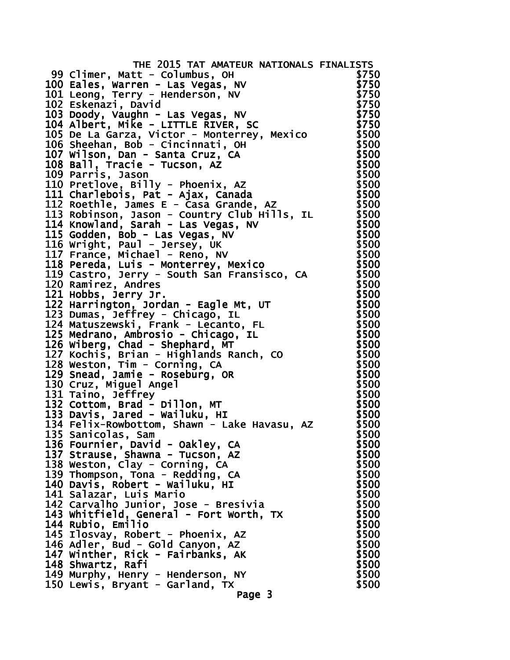| THE 2015 TAT AMATEUR NATIONALS FINALISTS                                 |       |
|--------------------------------------------------------------------------|-------|
| 99 Climer, Matt - Columbus, OH                                           | \$750 |
| 100 Eales, Warren - Las Vegas, NV                                        | \$750 |
| 101 Leong, Terry - Henderson, NV                                         | \$750 |
| 102 Eskenazi, David                                                      | \$750 |
| 103 Doody, Vaughn - Las Vegas, NV                                        | \$750 |
| 104 Albert, Mike - LITTLE RIVER, SC                                      | \$750 |
| 105 De La Garza, Victor - Monterrey, Mexico                              | \$500 |
| 106 Sheehan, Bob - Cincinnati, OH                                        | \$500 |
| 107 Wilson, Dan - Santa Cruz, CA                                         | \$500 |
| 108 Ball, Tracie - Tucson, AZ                                            | \$500 |
| 109 Parris, Jason                                                        | \$500 |
| 110 Pretlove, Billy - Phoenix, AZ                                        | \$500 |
|                                                                          |       |
| 111 Charlebois, Pat - Ajax, Canada                                       | \$500 |
| 112 Roethle, James E - Casa Grande, AZ                                   | \$500 |
| 113 Robinson, Jason - Country Club Hills, IL                             | \$500 |
| 114 Knowland, Sarah - Las Vegas, NV                                      | \$500 |
| 115 Godden, Bob - Las Vegas, NV                                          | \$500 |
| 116 Wright, Paul - Jersey, UK                                            | \$500 |
|                                                                          | \$500 |
| 117 France, Michael - Reno, NV<br>118 Pereda, Luis - Monterrey, Mexico   | \$500 |
| 119 Castro, Jerry - South San Fransisco, CA                              | \$500 |
| 120 Ramirez, Andres                                                      | \$500 |
| 121 Hobbs, Jerry Jr.<br>122 Harrington, Jordan - Eagle Mt, UT            | \$500 |
|                                                                          | \$500 |
| 123 Dumas, Jeffrey - Chicago, IL                                         | \$500 |
| 124 Matuszewski, Frank - Lecanto, FL                                     | \$500 |
| 125 Medrano, Ambrosio - Chicago, IL                                      | \$500 |
| 126 Wiberg, Chad - Shephard, MT                                          | \$500 |
|                                                                          | \$500 |
| 127 Kochiš, Brian - Highlands Ranch, CO<br>128 Weston, Tim - Corning, CA | \$500 |
| 129 Snead, Jamie - Roseburg, OR                                          | \$500 |
| 130 Cruz, Miguel Angel                                                   | \$500 |
| 131 Taino, Jeffrey                                                       | \$500 |
|                                                                          | \$500 |
| 132 Cottom, Brad - Dillon, MT<br>133 Davis, Jared - Wailuku, HI          | \$500 |
|                                                                          |       |
| 134 Felix-Rowbottom, Shawn - Lake Havasu, AZ                             | \$500 |
| 135 Sanicolas, Sam                                                       | \$500 |
| 136 Fournier, David - Oakley, CA<br>137 Strause, Shawna - Tucson, AZ     | \$500 |
|                                                                          | \$500 |
| 138 Weston, Clay - Corning, CA                                           | \$500 |
| 139 Thompson, Tona - Redding, CA                                         | \$500 |
| 140 Davis, Robert - Wailuku, HI                                          | \$500 |
| 141 Salazar, Luis Mario<br>142 Carvalho Junior, Jose - Bresivia          | \$500 |
|                                                                          | \$500 |
| 143 Whitfield, General - Fort Worth, TX                                  | \$500 |
| 144 Rubio, Emilio                                                        | \$500 |
| 145 Ilosvay, Robert - Phoenix, AZ                                        | \$500 |
| 146 Adler, Bud - Gold Canyon, AZ                                         | \$500 |
| 147 Winther, Rick - Fairbanks, AK                                        | \$500 |
| 148 Shwartz, Rafi                                                        | \$500 |
| 149 Murphy, Henry - Henderson, NY                                        | \$500 |
| 150 Lewis, Bryant - Garland, TX                                          | \$500 |
| Page 3                                                                   |       |
|                                                                          |       |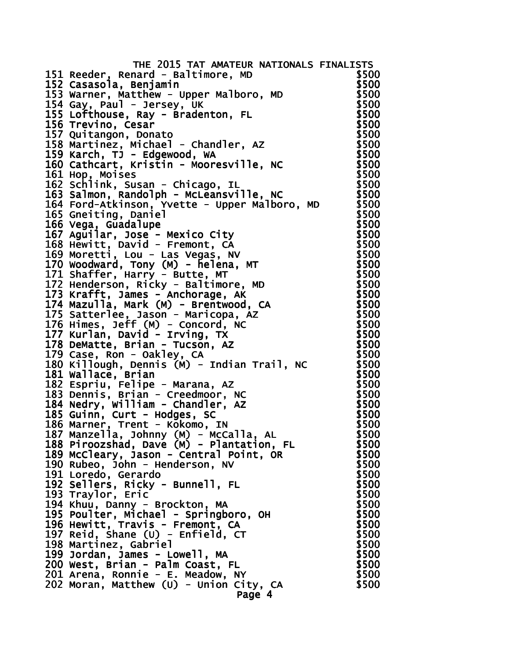| THE 2015 TAT AMATEUR NATIONALS FINALISTS                                                                                             |                |
|--------------------------------------------------------------------------------------------------------------------------------------|----------------|
| 151 Reeder, Renard - Baltimore, MD                                                                                                   | \$500          |
|                                                                                                                                      | \$500          |
| נג keeaer, kenara - Baitimore, MD<br>152 Casasola, Benjamin<br>153 Warner, Matthew - Upper Malboro, MD<br>154 Gay, Paul - Jersey, UK | \$500          |
| 154 Gay, Paul - Jersey, UK                                                                                                           | \$500          |
| 155 Lofthouse, Ray - Bradenton, FL                                                                                                   | \$500          |
| 156 Trevino, Cesar                                                                                                                   | \$500          |
| 157 Quitangon, Donato                                                                                                                | \$500          |
| 158 Martinez, Michael - Chandler, AZ                                                                                                 | \$500          |
| 159 Karch, TJ - Edgewood, WA                                                                                                         | \$500          |
| 160 Cathcart, Kristin - Mooresville, NC                                                                                              | \$500          |
| 161 Hop, Moises                                                                                                                      | \$500          |
| 162 Schlink, Susan - Chicago, IL                                                                                                     | \$500          |
| 163 Salmon, Randolph - McLeansville, NC                                                                                              | \$500          |
| 164 Ford-Atkinson, Yvette - Upper Malboro, MD                                                                                        | \$500          |
| 165 Gneiting, Daniel                                                                                                                 | \$500          |
| 166 Vega, Guadalupe                                                                                                                  | \$500          |
| 167 Aguilar, Jose - Mexico City                                                                                                      | \$500          |
| 168 Hewitt, David - Fremont, CA                                                                                                      | \$500          |
| 169 Moretti, Lou - Las Vegas, NV                                                                                                     | \$500          |
| 170 Woodward, Tony (M) - helena, MT                                                                                                  | \$500          |
| 171 Shaffer, Harry - Butte, MT                                                                                                       | \$500          |
| 172 Henderson, Ricky - Baltimore, MD                                                                                                 | \$500          |
| 173 Krafft, James - Anchorage, AK                                                                                                    | \$500          |
| 174 Mazulla, Mark (M) - Brentwood, CA                                                                                                | \$500          |
| 175 Satterlee, Jason - Maricopa, AZ                                                                                                  | \$500          |
| 176 Himes, Jeff (M) - Concord, NC                                                                                                    | \$500          |
| 177 Kurlan, David - Irving, TX                                                                                                       | \$500          |
| 178 DeMatte, Brian - Tucson, AZ                                                                                                      | \$500          |
| 179 Case, Ron - Oakley, CA                                                                                                           | \$500          |
| 180 Killough, Dennis (M) - Indian Trail, NC                                                                                          | \$500<br>\$500 |
| 181 Wallace, Brian                                                                                                                   | \$500          |
| 182 Espriu, Felipe - Marana, AZ<br>183 Dennis, Brian - Creedmoor, NC                                                                 | \$500          |
| 184 Nedry, William - Chandler, AZ                                                                                                    | \$500          |
| 185 Guinn, Curt - Hodges, SC                                                                                                         | \$500          |
|                                                                                                                                      | \$500          |
| 186 Marner, Trent - Kōkomo, IN<br>187 Manzella, Johnny (M) - McCalla, AL                                                             | \$500          |
| 188 Piroozshad, Dave (M) - Plantation, FL                                                                                            | \$500          |
| 189 McCleary, Jason - Central Point, OR                                                                                              | \$500          |
| 190 Rubeo, John - Henderson, NV                                                                                                      | \$500          |
| 191 Loredo, Gerardo                                                                                                                  | \$500          |
| 192 Sellers, Ricky - Bunnell, FL                                                                                                     | \$500          |
| 193 Traylor, Eric                                                                                                                    | \$500          |
| 194 Khuu, Danny - Brockton, MA                                                                                                       | \$500          |
| 195 Poulter, Michael - Springboro, OH                                                                                                | \$500          |
| 196 Hewitt, Travis - Fremont, CA                                                                                                     | \$500          |
| 197 Reid, Shane $(U)$ - Enfield, CT                                                                                                  | \$500          |
| 198 Martinez, Gabriel                                                                                                                | \$500          |
| 199 Jordan, James - Lowell, MA                                                                                                       | \$500          |
| 200 West, Brian - Palm Coast, FL                                                                                                     | \$500          |
| 201 Arena, Ronnie - E. Meadow, NY                                                                                                    | \$500          |
| 202 Moran, Matthew (U) - Union City, CA                                                                                              | \$500          |
| Page 4                                                                                                                               |                |